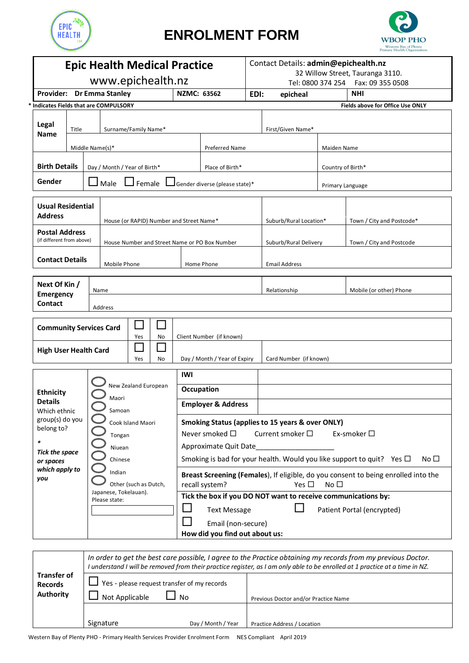

## **ENROLMENT FORM**



| <b>Epic Health Medical Practice</b>                                                                        |                                                    |                              |                                                                           |                                |            | Contact Details: admin@epichealth.nz<br>32 Willow Street, Tauranga 3110. |                                                                                                                                                                |  |                                      |                           |                                         |  |
|------------------------------------------------------------------------------------------------------------|----------------------------------------------------|------------------------------|---------------------------------------------------------------------------|--------------------------------|------------|--------------------------------------------------------------------------|----------------------------------------------------------------------------------------------------------------------------------------------------------------|--|--------------------------------------|---------------------------|-----------------------------------------|--|
| www.epichealth.nz                                                                                          |                                                    |                              |                                                                           |                                |            |                                                                          |                                                                                                                                                                |  | Tel: 0800 374 254   Fax: 09 355 0508 |                           |                                         |  |
| Provider: Dr Emma Stanley                                                                                  |                                                    |                              |                                                                           | NZMC: 63562                    |            | EDI:                                                                     | NHI<br>epicheal                                                                                                                                                |  |                                      |                           |                                         |  |
| * Indicates Fields that are COMPULSORY                                                                     |                                                    |                              |                                                                           |                                |            |                                                                          |                                                                                                                                                                |  |                                      |                           | <b>Fields above for Office Use ONLY</b> |  |
| Legal<br><b>Name</b>                                                                                       | Title                                              | Surname/Family Name*         |                                                                           |                                |            |                                                                          |                                                                                                                                                                |  | First/Given Name*                    |                           |                                         |  |
|                                                                                                            |                                                    | Middle Name(s)*              |                                                                           |                                |            |                                                                          | <b>Preferred Name</b>                                                                                                                                          |  |                                      | Maiden Name               |                                         |  |
| <b>Birth Details</b>                                                                                       |                                                    | Day / Month / Year of Birth* |                                                                           |                                |            | Place of Birth*                                                          |                                                                                                                                                                |  | Country of Birth*                    |                           |                                         |  |
| Gender                                                                                                     |                                                    | $\Box$ Female<br>Male        |                                                                           |                                |            | $\Box$ Gender diverse (please state)*                                    |                                                                                                                                                                |  | Primary Language                     |                           |                                         |  |
| <b>Usual Residential</b><br><b>Address</b>                                                                 |                                                    |                              | House (or RAPID) Number and Street Name*                                  |                                |            |                                                                          |                                                                                                                                                                |  | Suburb/Rural Location*               | Town / City and Postcode* |                                         |  |
|                                                                                                            | <b>Postal Address</b><br>(if different from above) |                              | House Number and Street Name or PO Box Number                             |                                |            |                                                                          |                                                                                                                                                                |  | Suburb/Rural Delivery                |                           | Town / City and Postcode                |  |
|                                                                                                            | <b>Contact Details</b>                             |                              | Mobile Phone                                                              |                                |            |                                                                          | Home Phone                                                                                                                                                     |  | <b>Email Address</b>                 |                           |                                         |  |
| Next Of Kin /<br><b>Emergency</b><br>Contact                                                               |                                                    | Name<br>Address              |                                                                           |                                |            |                                                                          | Relationship                                                                                                                                                   |  |                                      |                           | Mobile (or other) Phone                 |  |
| $\mathcal{L}_{\mathcal{A}}$<br><b>Community Services Card</b><br>Yes<br>No<br><b>High User Health Card</b> |                                                    |                              |                                                                           | Client Number (if known)       |            |                                                                          |                                                                                                                                                                |  |                                      |                           |                                         |  |
|                                                                                                            |                                                    |                              |                                                                           | Yes                            | No         |                                                                          | Day / Month / Year of Expiry                                                                                                                                   |  | Card Number (if known)               |                           |                                         |  |
|                                                                                                            |                                                    |                              | New Zealand European<br>Maori                                             |                                | <b>IWI</b> |                                                                          |                                                                                                                                                                |  |                                      |                           |                                         |  |
| <b>Ethnicity</b>                                                                                           |                                                    |                              |                                                                           |                                |            | Occupation                                                               |                                                                                                                                                                |  |                                      |                           |                                         |  |
| <b>Details</b><br>Which ethnic                                                                             |                                                    |                              |                                                                           | Samoan                         |            |                                                                          | <b>Employer &amp; Address</b>                                                                                                                                  |  |                                      |                           |                                         |  |
| group(s) do you<br>belong to?<br>$\ast$                                                                    |                                                    |                              | Cook Island Maori<br>Tongan<br>Niuean                                     |                                |            |                                                                          | <b>Smoking Status (applies to 15 years &amp; over ONLY)</b><br>Never smoked $\Box$<br>Current smoker $\square$<br>Ex-smoker $\square$<br>Approximate Quit Date |  |                                      |                           |                                         |  |
| <b>Tick the space</b><br>or spaces                                                                         |                                                    |                              | Chinese                                                                   |                                |            |                                                                          | Smoking is bad for your health. Would you like support to quit? Yes $\Box$<br>No $\square$                                                                     |  |                                      |                           |                                         |  |
| which apply to<br>you                                                                                      |                                                    |                              | Indian<br>Other (such as Dutch,<br>Japanese, Tokelauan).<br>Please state: |                                |            |                                                                          | Breast Screening (Females), If eligible, do you consent to being enrolled into the<br>recall system?<br>Yes $\Box$<br>No $\square$                             |  |                                      |                           |                                         |  |
|                                                                                                            |                                                    |                              |                                                                           |                                |            |                                                                          | Tick the box if you DO NOT want to receive communications by:                                                                                                  |  |                                      |                           |                                         |  |
|                                                                                                            |                                                    |                              |                                                                           |                                |            | Patient Portal (encrypted)<br><b>Text Message</b><br>Email (non-secure)  |                                                                                                                                                                |  |                                      |                           |                                         |  |
|                                                                                                            |                                                    |                              |                                                                           | How did you find out about us: |            |                                                                          |                                                                                                                                                                |  |                                      |                           |                                         |  |
|                                                                                                            |                                                    |                              |                                                                           |                                |            |                                                                          |                                                                                                                                                                |  |                                      |                           |                                         |  |

| <b>Transfer of</b><br><b>Records</b><br>Authority | In order to get the best care possible, I agree to the Practice obtaining my records from my previous Doctor.<br>I understand I will be removed from their practice register, as I am only able to be enrolled at 1 practice at a time in NZ. |                                      |  |  |  |  |  |  |  |
|---------------------------------------------------|-----------------------------------------------------------------------------------------------------------------------------------------------------------------------------------------------------------------------------------------------|--------------------------------------|--|--|--|--|--|--|--|
|                                                   | $\Box$ Yes - please request transfer of my records<br>Not Applicable<br>  No                                                                                                                                                                  | Previous Doctor and/or Practice Name |  |  |  |  |  |  |  |
|                                                   | Signature<br>Day / Month / Year                                                                                                                                                                                                               | Practice Address / Location          |  |  |  |  |  |  |  |